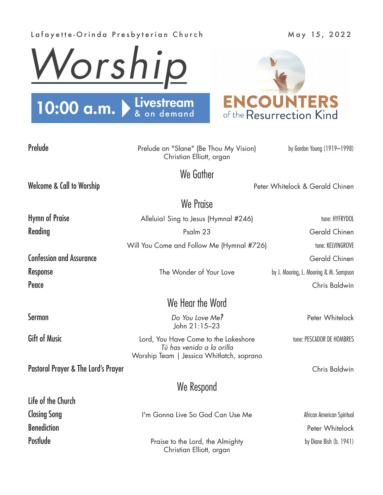## Lafayette-Orinda Presbyterian Church May 15, 2022





| Prelude                              | Prelude on "Slane" (Be Thou My Vision)<br>Christian Elliott, organ | by Gordon Young (1919-1998)            |
|--------------------------------------|--------------------------------------------------------------------|----------------------------------------|
|                                      | We Gather                                                          |                                        |
| <b>Welcome &amp; Call to Worship</b> |                                                                    | Peter Whitelock & Gerald Chinen        |
| We Praise                            |                                                                    |                                        |
| <b>Hymn of Praise</b>                | Alleluia! Sing to Jesus (Hymnal #246)                              | tune: HYFRYDOL                         |
| Reading                              | Psalm 23                                                           | Gerald Chinen                          |
|                                      | Will You Come and Follow Me (Hymnal #726)                          | tune: KELVINGROVE                      |
| <b>Confession and Assurance</b>      |                                                                    | Gerald Chinen                          |
| <b>Response</b>                      | The Wonder of Your Love                                            | by J. Mooring, L. Mooring & M. Sampson |
| Peace                                |                                                                    | Chris Baldwin                          |
| We Hear the Word                     |                                                                    |                                        |
| <b>Sermon</b>                        | Do You Love Me?<br>John 21:15-23                                   | Peter Whitelock                        |
| <b>Gift of Music</b>                 | Lord, You Have Come to the Lakeshore<br>Tú has venido a la orilla  | tune: PESCADOR DE HOMBRES              |

Pastoral Prayer & The Lord's Prayer Chris Baldwin

Life of the Church

We Respond

Worship Team | Jessica Whitlatch, soprano

Closing Song The Solution of I'm Gonna Live So God Can Use Me African American Spiritual **Benediction** Peter Whitelock Postlude **Postlude** Praise to the Lord, the Almighty by Diane Bish (b. 1941) Christian Elliott, organ